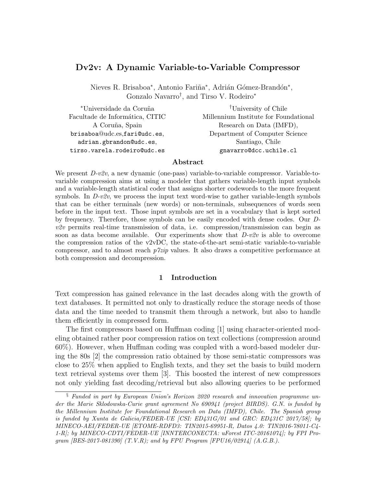# Dv2v: A Dynamic Variable-to-Variable Compressor

Nieves R. Brisaboa\*, Antonio Fariña\*, Adrián Gómez-Brandón\*, Gonzalo Navarro† , and Tirso V. Rodeiro<sup>∗</sup>

| <sup>†</sup> University of Chile      |
|---------------------------------------|
| Millennium Institute for Foundational |
| Research on Data (IMFD),              |
| Department of Computer Science        |
| Santiago, Chile                       |
| gnavarro@dcc.uchile.cl                |
|                                       |

# Abstract

We present D-v2v, a new dynamic (one-pass) variable-to-variable compressor. Variable-tovariable compression aims at using a modeler that gathers variable-length input symbols and a variable-length statistical coder that assigns shorter codewords to the more frequent symbols. In  $D-v2v$ , we process the input text word-wise to gather variable-length symbols that can be either terminals (new words) or non-terminals, subsequences of words seen before in the input text. Those input symbols are set in a vocabulary that is kept sorted by frequency. Therefore, those symbols can be easily encoded with dense codes. Our D $v2v$  permits real-time transmission of data, i.e. compression/transmission can begin as soon as data become available. Our experiments show that  $D\nu 2v$  is able to overcome the compression ratios of the v2vDC, the state-of-the-art semi-static variable-to-variable compressor, and to almost reach  $p\textit{7zip}$  values. It also draws a competitive performance at both compression and decompression.

## 1 Introduction

Text compression has gained relevance in the last decades along with the growth of text databases. It permitted not only to drastically reduce the storage needs of those data and the time needed to transmit them through a network, but also to handle them efficiently in compressed form.

The first compressors based on Huffman coding [1] using character-oriented modeling obtained rather poor compression ratios on text collections (compression around 60%). However, when Huffman coding was coupled with a word-based modeler during the 80s [2] the compression ratio obtained by those semi-static compressors was close to 25% when applied to English texts, and they set the basis to build modern text retrieval systems over them [3]. This boosted the interest of new compressors not only yielding fast decoding/retrieval but also allowing queries to be performed

<sup>§</sup> Funded in part by European Union's Horizon 2020 research and innovation programme under the Marie Sklodowska-Curie grant agreement No 690941 (project BIRDS). G.N. is funded by the Millennium Institute for Foundational Research on Data (IMFD), Chile. The Spanish group is funded by Xunta de Galicia/FEDER-UE [CSI: ED431G/01 and GRC: ED431C 2017/58]; by MINECO-AEI/FEDER-UE [ETOME-RDFD3: TIN2015-69951-R, Datos 4.0: TIN2016-78011-C4- 1-R]; by MINECO-CDTI/FEDER-UE [INNTERCONECTA: uForest ITC-20161074]; by FPI Program  $[BES-2017-081390]$   $(T.V.R)$ ; and by FPU Program  $[FPU16/02914]$   $(A.G.B.).$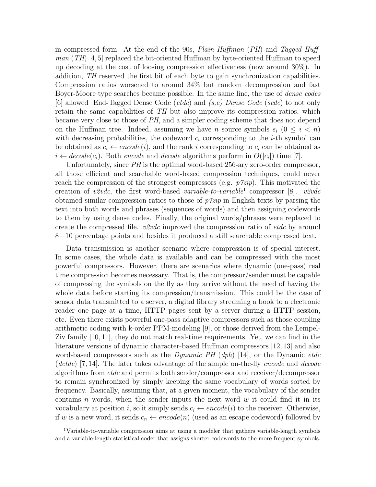in compressed form. At the end of the 90s, *Plain Huffman*  $(PH)$  and Tagged Huffman (TH) [4, 5] replaced the bit-oriented Huffman by byte-oriented Huffman to speed up decoding at the cost of loosing compression effectiveness (now around 30%). In addition, TH reserved the first bit of each byte to gain synchronization capabilities. Compression ratios worsened to around 34% but random decompression and fast Boyer-Moore type searches became possible. In the same line, the use of *dense codes* [6] allowed End-Tagged Dense Code (*etdc*) and  $(s, c)$  Dense Code (*scdc*) to not only retain the same capabilities of TH but also improve its compression ratios, which became very close to those of PH, and a simpler coding scheme that does not depend on the Huffman tree. Indeed, assuming we have *n* source symbols  $s_i$  ( $0 \le i \le n$ ) with decreasing probabilities, the codeword  $c_i$  corresponding to the *i*-th symbol can be obtained as  $c_i \leftarrow encode(i)$ , and the rank i corresponding to  $c_i$  can be obtained as  $i \leftarrow decode(c_i)$ . Both *encode* and *decode* algorithms perform in  $O(|c_i|)$  time [7].

Unfortunately, since PH is the optimal word-based 256-ary zero-order compressor, all those efficient and searchable word-based compression techniques, could never reach the compression of the strongest compressors (e.g.  $p\gamma zip$ ). This motivated the creation of v2vdc, the first word-based variable-to-variable<sup>1</sup> compressor [8]. v2vdc obtained similar compression ratios to those of  $p\gamma zip$  in English texts by parsing the text into both words and phrases (sequences of words) and then assigning codewords to them by using dense codes. Finally, the original words/phrases were replaced to create the compressed file.  $v2vdc$  improved the compression ratio of *etdc* by around 8−10 percentage points and besides it produced a still searchable compressed text.

Data transmission is another scenario where compression is of special interest. In some cases, the whole data is available and can be compressed with the most powerful compressors. However, there are scenarios where dynamic (one-pass) real time compression becomes necessary. That is, the compressor/sender must be capable of compressing the symbols on the fly as they arrive without the need of having the whole data before starting its compression/transmission. This could be the case of sensor data transmitted to a server, a digital library streaming a book to a electronic reader one page at a time, HTTP pages sent by a server during a HTTP session, etc. Even there exists powerful one-pass adaptive compressors such as those coupling arithmetic coding with k-order PPM-modeling [9], or those derived from the Lempel-Ziv family [10, 11], they do not match real-time requirements. Yet, we can find in the literature versions of dynamic character-based Huffman compressors [12, 13] and also word-based compressors such as the *Dynamic PH* (dph) [14], or the Dynamic *etdc* (detdc) [7, 14]. The later takes advantage of the simple on-the-fly encode and decode algorithms from etdc and permits both sender/compressor and receiver/decompressor to remain synchronized by simply keeping the same vocabulary of words sorted by frequency. Basically, assuming that, at a given moment, the vocabulary of the sender contains n words, when the sender inputs the next word  $w$  it could find it in its vocabulary at position i, so it simply sends  $c_i \leftarrow encode(i)$  to the receiver. Otherwise, if w is a new word, it sends  $c_n \leftarrow encode(n)$  (used as an escape codeword) followed by

<sup>1</sup>Variable-to-variable compression aims at using a modeler that gathers variable-length symbols and a variable-length statistical coder that assigns shorter codewords to the more frequent symbols.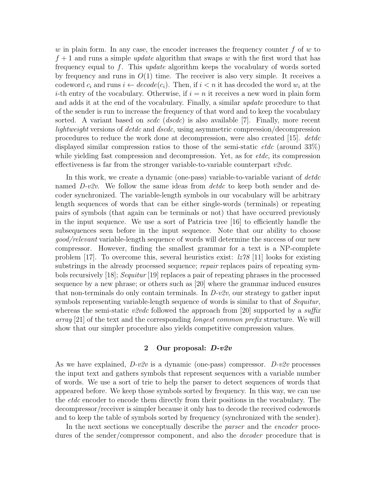w in plain form. In any case, the encoder increases the frequency counter  $f$  of  $w$  to  $f + 1$  and runs a simple *update* algorithm that swaps w with the first word that has frequency equal to  $f$ . This *update* algorithm keeps the vocabulary of words sorted by frequency and runs in  $O(1)$  time. The receiver is also very simple. It receives a codeword  $c_i$  and runs  $i \leftarrow decode(c_i)$ . Then, if  $i < n$  it has decoded the word  $w_i$  at the *i*-th entry of the vocabulary. Otherwise, if  $i = n$  it receives a new word in plain form and adds it at the end of the vocabulary. Finally, a similar update procedure to that of the sender is run to increase the frequency of that word and to keep the vocabulary sorted. A variant based on *scdc* (*dscdc*) is also available [7]. Finally, more recent lightweight versions of detdc and dscdc, using asymmetric compression/decompression procedures to reduce the work done at decompression, were also created [15]. *detdc* displayed similar compression ratios to those of the semi-static *etdc* (around  $33\%$ ) while yielding fast compression and decompression. Yet, as for  $etdc$ , its compression effectiveness is far from the stronger variable-to-variable counterpart  $v2vdc$ .

In this work, we create a dynamic (one-pass) variable-to-variable variant of *detdc* named  $D\nu 2v$ . We follow the same ideas from *detac* to keep both sender and decoder synchronized. The variable-length symbols in our vocabulary will be arbitrary length sequences of words that can be either single-words (terminals) or repeating pairs of symbols (that again can be terminals or not) that have occurred previously in the input sequence. We use a sort of Patricia tree [16] to efficiently handle the subsequences seen before in the input sequence. Note that our ability to choose good/relevant variable-length sequence of words will determine the success of our new compressor. However, finding the smallest grammar for a text is a NP-complete problem [17]. To overcome this, several heuristics exist:  $\frac{1}{278}$  [11] looks for existing substrings in the already processed sequence; repair replaces pairs of repeating symbols recursively [18]; Sequitur [19] replaces a pair of repeating phrases in the processed sequence by a new phrase; or others such as [20] where the grammar induced ensures that non-terminals do only contain terminals. In  $D-v2v$ , our strategy to gather input symbols representing variable-length sequence of words is similar to that of Sequitur, whereas the semi-static v2vdc followed the approach from [20] supported by a suffix array [21] of the text and the corresponding longest common prefix structure. We will show that our simpler procedure also yields competitive compression values.

## 2 Our proposal: D-v2v

As we have explained,  $D-v2v$  is a dynamic (one-pass) compressor.  $D-v2v$  processes the input text and gathers symbols that represent sequences with a variable number of words. We use a sort of trie to help the parser to detect sequences of words that appeared before. We keep those symbols sorted by frequency. In this way, we can use the etdc encoder to encode them directly from their positions in the vocabulary. The decompressor/receiver is simpler because it only has to decode the received codewords and to keep the table of symbols sorted by frequency (synchronized with the sender).

In the next sections we conceptually describe the *parser* and the *encoder* procedures of the sender/compressor component, and also the *decoder* procedure that is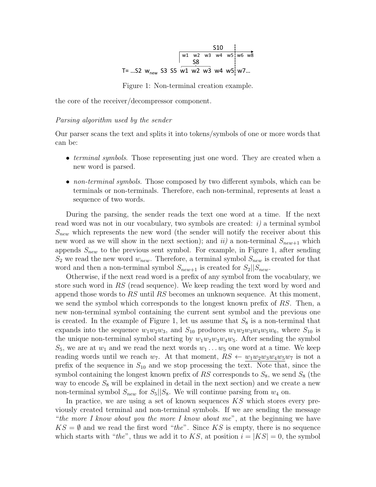$$
T = ...S2 \ wnew S3 S5 w1 w2 w3 w4 w5 w6 w8
$$
  
\n
$$
T = ...S2 \ wnew S3 S5 w1 w2 w3 w4 w5 w7...
$$

Figure 1: Non-terminal creation example.

the core of the receiver/decompressor component.

#### Parsing algorithm used by the sender

Our parser scans the text and splits it into tokens/symbols of one or more words that can be:

- *terminal symbols*. Those representing just one word. They are created when a new word is parsed.
- non-terminal symbols. Those composed by two different symbols, which can be terminals or non-terminals. Therefore, each non-terminal, represents at least a sequence of two words.

During the parsing, the sender reads the text one word at a time. If the next read word was not in our vocabulary, two symbols are created:  $i)$  a terminal symbol  $S_{new}$  which represents the new word (the sender will notify the receiver about this new word as we will show in the next section); and  $ii$  a non-terminal  $S_{new+1}$  which appends  $S_{new}$  to the previous sent symbol. For example, in Figure 1, after sending  $S_2$  we read the new word  $w_{new}$ . Therefore, a terminal symbol  $S_{new}$  is created for that word and then a non-terminal symbol  $S_{new+1}$  is created for  $S_2||S_{new}$ .

Otherwise, if the next read word is a prefix of any symbol from the vocabulary, we store such word in RS (read sequence). We keep reading the text word by word and append those words to  $RS$  until  $RS$  becomes an unknown sequence. At this moment, we send the symbol which corresponds to the longest known prefix of RS. Then, a new non-terminal symbol containing the current sent symbol and the previous one is created. In the example of Figure 1, let us assume that  $S_8$  is a non-terminal that expands into the sequence  $w_1w_2w_3$ , and  $S_{10}$  produces  $w_1w_2w_3w_4w_5w_6$ , where  $S_{10}$  is the unique non-terminal symbol starting by  $w_1w_2w_3w_4w_5$ . After sending the symbol  $S_5$ , we are at  $w_1$  and we read the next words  $w_1 \ldots w_5$  one word at a time. We keep reading words until we reach  $w_7$ . At that moment,  $RS \leftarrow w_1w_2w_3w_4w_5w_7$  is not a prefix of the sequence in  $S_{10}$  and we stop processing the text. Note that, since the symbol containing the longest known prefix of  $RS$  corresponds to  $S_8$ , we send  $S_8$  (the way to encode  $S_8$  will be explained in detail in the next section) and we create a new non-terminal symbol  $S_{new}$  for  $S_5||S_8$ . We will continue parsing from  $w_4$  on.

In practice, we are using a set of known sequences  $KS$  which stores every previously created terminal and non-terminal symbols. If we are sending the message "the more I know about you the more I know about me", at the beginning we have  $KS = \emptyset$  and we read the first word "the". Since KS is empty, there is no sequence which starts with "the", thus we add it to KS, at position  $i = |KS| = 0$ , the symbol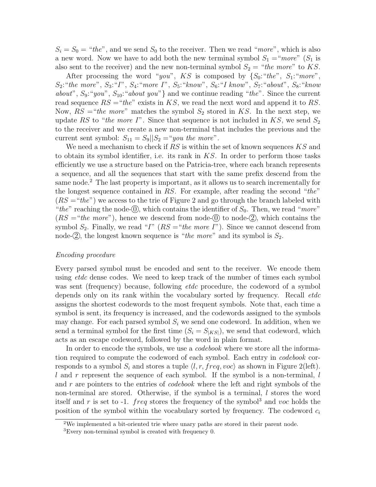$S_i = S_0 = "the",$  and we send  $S_0$  to the receiver. Then we read "more", which is also a new word. Now we have to add both the new terminal symbol  $S_1 = "more"$  ( $S_1$  is also sent to the receiver) and the new non-terminal symbol  $S_2 = "the more"$  to KS.

After processing the word "you", KS is composed by  $\{S_0: "the", S_1: "more",$  $S_2$ : "the more",  $S_3$ : "I",  $S_4$ : "more I",  $S_5$ : "know",  $S_6$ : "I know",  $S_7$ : "about",  $S_8$ : "know about",  $S_9$ : "you",  $S_{10}$ : "about you"} and we continue reading "the". Since the current read sequence  $RS = "the"$  exists in KS, we read the next word and append it to RS. Now,  $RS = "the more"$  matches the symbol  $S_2$  stored in KS. In the next step, we update RS to "the more I". Since that sequence is not included in  $KS$ , we send  $S_2$ to the receiver and we create a new non-terminal that includes the previous and the current sent symbol:  $S_{11} = S_9||S_2 = "you the more".$ 

We need a mechanism to check if  $RS$  is within the set of known sequences  $KS$  and to obtain its symbol identifier, i.e. its rank in  $KS$ . In order to perform those tasks efficiently we use a structure based on the Patricia-tree, where each branch represents a sequence, and all the sequences that start with the same prefix descend from the same node.<sup>2</sup> The last property is important, as it allows us to search incrementally for the longest sequence contained in  $RS$ . For example, after reading the second "the"  $(RS = "the")$  we access to the trie of Figure 2 and go through the branch labeled with "the" reaching the node- $(0)$ , which contains the identifier of  $S_0$ . Then, we read "more"  $(RS = "the more")$ , hence we descend from node- $\overline{0}$  to node- $\overline{2}$ , which contains the symbol  $S_2$ . Finally, we read "I"  $(RS = "the more I")$ . Since we cannot descend from node- (2), the longest known sequence is "*the more*" and its symbol is  $S_2$ .

## Encoding procedure

Every parsed symbol must be encoded and sent to the receiver. We encode them using *etdc* dense codes. We need to keep track of the number of times each symbol was sent (frequency) because, following *etdc* procedure, the codeword of a symbol depends only on its rank within the vocabulary sorted by frequency. Recall *etdc* assigns the shortest codewords to the most frequent symbols. Note that, each time a symbol is sent, its frequency is increased, and the codewords assigned to the symbols may change. For each parsed symbol  $S_i$  we send one codeword. In addition, when we send a terminal symbol for the first time  $(S_i = S_{|KS|})$ , we send that codeword, which acts as an escape codeword, followed by the word in plain format.

In order to encode the symbols, we use a *codebook* where we store all the information required to compute the codeword of each symbol. Each entry in *codebook* corresponds to a symbol  $S_i$  and stores a tuple  $\langle l, r, freq, voc \rangle$  as shown in Figure 2(left). l and r represent the sequence of each symbol. If the symbol is a non-terminal, l and r are pointers to the entries of *codebook* where the left and right symbols of the non-terminal are stored. Otherwise, if the symbol is a terminal, l stores the word itself and r is set to -1. *freq* stores the frequency of the symbol<sup>3</sup> and voc holds the position of the symbol within the vocabulary sorted by frequency. The codeword  $c_i$ 

<sup>2</sup>We implemented a bit-oriented trie where unary paths are stored in their parent node.

<sup>&</sup>lt;sup>3</sup>Every non-terminal symbol is created with frequency 0.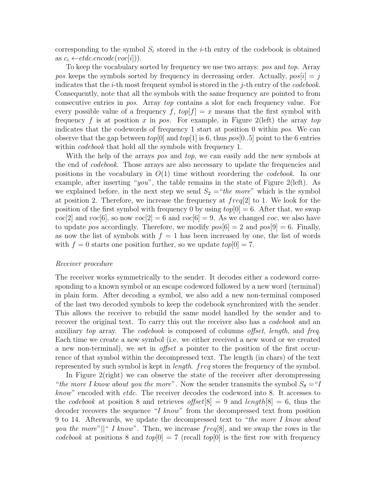corresponding to the symbol  $S_i$  stored in the *i*-th entry of the codebook is obtained as  $c_i \leftarrow etde.encode(voc|i|)).$ 

To keep the vocabulary sorted by frequency we use two arrays: pos and top. Array pos keeps the symbols sorted by frequency in decreasing order. Actually,  $pos[i] = j$ indicates that the *i*-th most frequent symbol is stored in the *j*-th entry of the *codebook*. Consequently, note that all the symbols with the same frequency are pointed to from consecutive entries in pos. Array top contains a slot for each frequency value. For every possible value of a frequency f,  $top[f] = x$  means that the first symbol with frequency f is at position x in pos. For example, in Figure 2(left) the array top indicates that the codewords of frequency 1 start at position 0 within pos. We can observe that the gap between  $top[0]$  and  $top[1]$  is 6, thus  $pos[0..5]$  point to the 6 entries within *codebook* that hold all the symbols with frequency 1.

With the help of the arrays pos and top, we can easily add the new symbols at the end of *codebook*. Those arrays are also necessary to update the frequencies and positions in the vocabulary in  $O(1)$  time without reordering the *codebook*. In our example, after inserting "you", the table remains in the state of Figure 2(left). As we explained before, in the next step we send  $S_2 = "the more"$  which is the symbol at position 2. Therefore, we increase the frequency at  $freq[2]$  to 1. We look for the position of the first symbol with frequency 0 by using  $top[0] = 6$ . After that, we swap  $voc[2]$  and  $voc[6]$ , so now  $voc[2] = 6$  and  $voc[6] = 9$ . As we changed voc, we also have to update pos accordingly. Therefore, we modify  $pos[6] = 2$  and  $pos[9] = 6$ . Finally, as now the list of symbols with  $f = 1$  has been increased by one, the list of words with  $f = 0$  starts one position further, so we update  $top[0] = 7$ .

## Receiver procedure

The receiver works symmetrically to the sender. It decodes either a codeword corresponding to a known symbol or an escape codeword followed by a new word (terminal) in plain form. After decoding a symbol, we also add a new non-terminal composed of the last two decoded symbols to keep the codebook synchronized with the sender. This allows the receiver to rebuild the same model handled by the sender and to recover the original text. To carry this out the receiver also has a *codebook* and an auxiliary top array. The codebook is composed of columns offset, length, and freq. Each time we create a new symbol (i.e. we either received a new word or we created a new non-terminal), we set in offset a pointer to the position of the first occurrence of that symbol within the decompressed text. The length (in chars) of the text represented by such symbol is kept in *length. freq* stores the frequency of the symbol.

In Figure 2(right) we can observe the state of the receiver after decompressing "the more I know about you the more". Now the sender transmits the symbol  $S_8 = "I$ know" encoded with etdc. The receiver decodes the codeword into 8. It accesses to the *codebook* at position 8 and retrieves offset  $[8] = 9$  and length  $[8] = 6$ , thus the decoder recovers the sequence "I know" from the decompressed text from position 9 to 14. Afterwards, we update the decompressed text to "the more I know about *you the more*"||" I know". Then, we increase  $freq[8]$ , and we swap the rows in the codebook at positions 8 and  $top[0] = 7$  (recall  $top[0]$  is the first row with frequency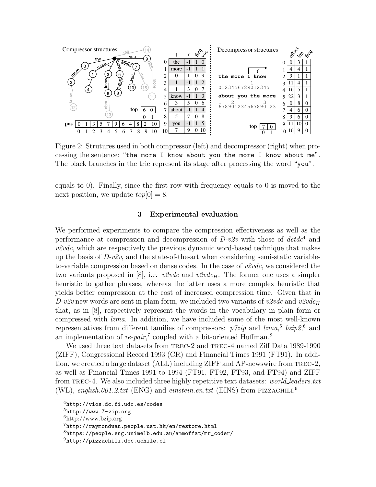

Figure 2: Strutures used in both compressor (left) and decompressor (right) when processing the sentence: "the more I know about you the more I know about me". The black branches in the trie represent its stage after processing the word "you".

equals to 0). Finally, since the first row with frequency equals to 0 is moved to the next position, we update  $top[0] = 8$ .

# 3 Experimental evaluation

We performed experiments to compare the compression effectiveness as well as the performance at compression and decompression of  $D\n\negthinspace\negthinspace\negthinspace v2v$  with those of  $det d^4$  and  $v2vdc$ , which are respectively the previous dynamic word-based technique that makes up the basis of  $D-v2v$ , and the state-of-the-art when considering semi-static variableto-variable compression based on dense codes. In the case of  $v2vdc$ , we considered the two variants proposed in [8], i.e.  $v2vdc$  and  $v2vdc<sub>H</sub>$ . The former one uses a simpler heuristic to gather phrases, whereas the latter uses a more complex heuristic that yields better compression at the cost of increased compression time. Given that in D-v2v new words are sent in plain form, we included two variants of v2vdc and v2vdc<sub>H</sub> that, as in [8], respectively represent the words in the vocabulary in plain form or compressed with lzma. In addition, we have included some of the most well-known representatives from different families of compressors:  $p7zip$  and  $lzma$ <sup>5</sup>,  $bzip2$ <sup>6</sup>, and an implementation of  $re\text{-}pair$ ,<sup>7</sup> coupled with a bit-oriented Huffman.<sup>8</sup>

We used three text datasets from TREC-2 and TREC-4 named Ziff Data 1989-1990 (ZIFF), Congressional Record 1993 (CR) and Financial Times 1991 (FT91). In addition, we created a large dataset (ALL) including ZIFF and AP-newswire from trec-2, as well as Financial Times 1991 to 1994 (FT91, FT92, FT93, and FT94) and ZIFF from TREC-4. We also included three highly repetitive text datasets: *world\_leaders.txt* (WL), english.001.2.txt (ENG) and einstein.en.txt (EINS) from PIZZACHILI.<sup>9</sup>

 $^{4}$ http://vios.dc.fi.udc.es/codes

 $5$ http://www.7-zip.org

<sup>6</sup>http://www.bzip.org

 $7$ http://raymondwan.people.ust.hk/en/restore.html

 $8$ https://people.eng.unimelb.edu.au/ammoffat/mr\_coder/

<sup>&</sup>lt;sup>9</sup>http://pizzachili.dcc.uchile.cl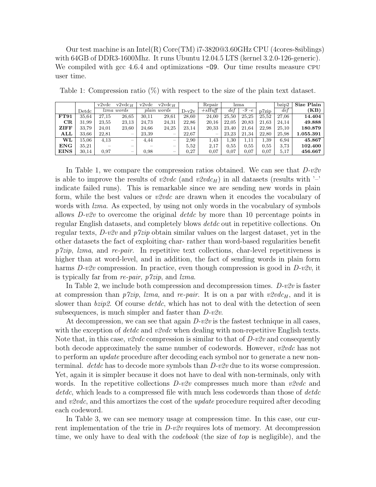Our test machine is an Intel(R)  $Core(TM)$  i7-3820 $@3.60GHz$  CPU (4cores-8siblings) with 64GB of DDR3-1600Mhz. It runs Ubuntu 12.04.5 LTS (kernel 3.2.0-126-generic). We compiled with gcc 4.6.4 and optimizations  $-09$ . Our time results measure CPU user time.

|                |                | $v2$ vdc   | $v2vdc_H$                | v2vdc       | $v2$ vdc $_{H}$          |         | Repair                   | Izma            |           |       | bzip2 | Size Plain |
|----------------|----------------|------------|--------------------------|-------------|--------------------------|---------|--------------------------|-----------------|-----------|-------|-------|------------|
|                | $_{\rm Detdc}$ | lzma words |                          | plain words |                          | $D-v2v$ | $+ sH u f f$             | def<br>$-9 - e$ |           | p7zip | def   | (KB)       |
| <b>FT91</b>    | 35.64          | 27.15      | 26,65                    | 30,11       | 29,61                    | 28,60   | 24.00                    | 25,50           | 25.25     | 25,52 | 27.06 | 14.404     |
| CR             | 31,99          | 23,55      | 23,13                    | 24,73       | 24,31                    | 22.86   | 20.16                    | 22.05           | 20,83     | 21,63 | 24.14 | 49.888     |
| ZIFF           | 33,79          | 24,01      | 23,60                    | 24,66       | 24,25                    | 23,14   | 20,33                    | 23.40           | 21,64     | 22.98 | 25.10 | 180.879    |
| $\mathbf{ALL}$ | 33.66          | 22.81      | $\overline{\phantom{a}}$ | 23,39       | $\overline{\phantom{a}}$ | 22,67   | $\overline{\phantom{a}}$ | 23,23           | 21,34     | 22.80 | 25,98 | 1.055.391  |
| WL             | 15.06          | 4.13       | -                        | 4.44        | $\overline{\phantom{0}}$ | 2.90    | 1.43                     | 1,30            | $_{1.11}$ | 1,39  | 6,94  | 45.867     |
| ENG            | 35.21          |            |                          |             |                          | 5,52    | 2.17                     | 0.55            | 0.55      | 0.55  | 3.73  | 102.400    |
| <b>EINS</b>    | 30,14          | 0.97       |                          | 0.98        |                          | 0.27    | 0.07                     | 0.07            | 0.07      | 0.07  | 5,17  | 456.667    |

Table 1: Compression ratio (%) with respect to the size of the plain text dataset.

In Table 1, we compare the compression ratios obtained. We can see that D-v2v is able to improve the results of v2vdc (and v2vdc<sub>H</sub>) in all datasets (results with  $\cdot$ indicate failed runs). This is remarkable since we are sending new words in plain form, while the best values or  $\mathit{v2vdc}$  are drawn when it encodes the vocabulary of words with *lzma*. As expected, by using not only words in the vocabulary of symbols allows  $D\nu\ell v$  to overcome the original detdc by more than 10 percentage points in regular English datasets, and completely blows *detdc* out in repetitive collections. On regular texts,  $D-v2v$  and  $p7zip$  obtain similar values on the largest dataset, yet in the other datasets the fact of exploiting char- rather than word-based regularities benefit  $p^{\gamma}zip$ , lzma, and re-pair. In repetitive text collections, char-level repetitiveness is higher than at word-level, and in addition, the fact of sending words in plain form harms  $D-v2v$  compression. In practice, even though compression is good in  $D-v2v$ , it is typically far from re-pair, p7zip, and lzma.

In Table 2, we include both compression and decompression times.  $D-v2v$  is faster at compression than  $p\textit{7zip}$ , lzma, and re-pair. It is on a par with  $v\textit{2vdc}_H$ , and it is slower than *bzip2*. Of course *detdc*, which has not to deal with the detection of seen subsequences, is much simpler and faster than D-v2v.

At decompression, we can see that again  $D\nu 2v$  is the fastest technique in all cases, with the exception of  $detdc$  and  $v2vdc$  when dealing with non-repetitive English texts. Note that, in this case,  $v2vdc$  compression is similar to that of  $D-v2v$  and consequently both decode approximately the same number of codewords. However,  $v2vdc$  has not to perform an *update* procedure after decoding each symbol nor to generate a new nonterminal. *detdc* has to decode more symbols than  $D-v2v$  due to its worse compression. Yet, again it is simpler because it does not have to deal with non-terminals, only with words. In the repetitive collections  $D\nu 2v$  compresses much more than  $v2vdc$  and detdc, which leads to a compressed file with much less codewords than those of detdc and  $v2vdc$ , and this amortizes the cost of the *update* procedure required after decoding each codeword.

In Table 3, we can see memory usage at compression time. In this case, our current implementation of the trie in  $D-v2v$  requires lots of memory. At decompression time, we only have to deal with the *codebook* (the size of *top* is negligible), and the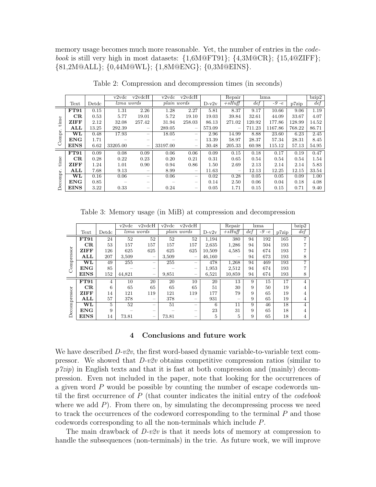memory usage becomes much more reasonable. Yet, the number of entries in the *code*book is still very high in most datasets:  $\{1,6M@FT91\}$ ;  $\{4,3M@CR\}$ ;  $\{15,4@ZIFF\}$ ; {81,2M@ALL}; {0,44M@WL}; {1,8M@ENG}; {0,3M@EINS}.

|                |                        |       | v2vdc      | v2vdcH                          | v2vdc       | v2vdcH                                |         | Repair    |        | lzma     |        | bzip2             |
|----------------|------------------------|-------|------------|---------------------------------|-------------|---------------------------------------|---------|-----------|--------|----------|--------|-------------------|
|                | Text                   | Detdc | lzma words |                                 | plain words |                                       | $D-v2v$ | $+ sHuff$ | def    | $-9 - e$ | p7zip  | def               |
| time<br>Compr. | FT91                   | 0.15  | 1.31       | 2.26                            | 1.28        | 2.27                                  | 5.81    | 8.37      | 9.17   | 10.66    | 9.06   | 1.19              |
|                | CR                     | 0.53  | 5.77       | 19.01                           | 5.72        | 19.10                                 | 19.03   | 39.84     | 32.61  | 44.09    | 33.67  | 4.07              |
|                | <b>ZIFF</b>            | 2.12  | 32.08      | 257.42                          | 31.94       | 258.03                                | 86.13   | 271.02    | 120.92 | 177.86   | 128.99 | 14.52             |
|                | ALL                    | 13.25 | 292.39     | $\equiv$                        | 289.05      | $\hspace{0.1mm}-\hspace{0.1mm}$       | 573.09  |           | 711.23 | 1167.86  | 768.22 | 86.71             |
|                | $\overline{\text{WL}}$ | 0.48  | 17.93      | -                               | 18.05       | $\hspace{1.0cm} \rule{1.5cm}{0.15cm}$ | 2.96    | 14.99     | 8.88   | 23.60    | 6.23   | $2.\overline{45}$ |
|                | <b>ENG</b>             | 1.71  |            | $\hspace{0.1mm}-\hspace{0.1mm}$ |             | -                                     | 13.39   | 58.97     | 28.37  | 57.34    | 28.31  | 8.45              |
|                | <b>EINS</b>            | 6.62  | 33205.00   | $\overline{\phantom{a}}$        | 33197.00    | $\hspace{0.1mm}-\hspace{0.1mm}$       | 30.48   | 205.33    | 60.98  | 115.12   | 57.13  | 54.95             |
|                | FT91                   | 0.09  | 0.08       | 0.09                            | 0.06        | 0.06                                  | 0.09    | 0.15      | 0.18   | 0.17     | 0.19   | 0.47              |
| time           | CR                     | 0.28  | 0.22       | 0.23                            | 0.20        | 0.21                                  | 0.31    | 0.65      | 0.54   | 0.54     | 0.54   | 1.54              |
| Decompr        | <b>ZIFF</b>            | 1.24  | 1.01       | 0.90                            | 0.94        | 0.86                                  | 1.50    | 2.69      | 2.13   | 2.14     | 2.14   | 5.83              |
|                | ALL                    | 7.68  | 9.13       | $\hspace{0.1mm}-\hspace{0.1mm}$ | 8.99        | $\hspace{0.1mm}-\hspace{0.1mm}$       | 11.63   | -         | 12.13  | 12.25    | 12.15  | 33.54             |
|                | $\bf WL$               | 0.16  | 0.06       |                                 | 0.06        | $\hspace{1.0cm} \rule{1.5cm}{0.15cm}$ | 0.02    | 0.28      | 0.05   | 0.05     | 0.09   | 1.00              |
|                | <b>ENG</b>             | 0.85  |            | $\overline{\phantom{0}}$        |             |                                       | 0.14    | 2.50      | 0.06   | 0.04     | 0.18   | 4.08              |
|                | <b>EINS</b>            | 3.22  | 0.33       | $\hspace{0.1mm}-\hspace{0.1mm}$ | 0.24        | $\hspace{0.1mm}-\hspace{0.1mm}$       | 0.05    | 1.71      | 0.15   | 0.15     | 0.71   | 9.40              |

Table 2: Compression and decompression times (in seconds)

Table 3: Memory usage (in MiB) at compression and decompression

|             |                        |       | $\overline{v2}$ vdc | v2vdcH     | v2vdc | v2vdcH      |         | Repair          |     | lzma     |       | bzip2          |
|-------------|------------------------|-------|---------------------|------------|-------|-------------|---------|-----------------|-----|----------|-------|----------------|
|             | Text                   | Detdc |                     | lzma words |       | plain words | $D-v2v$ | $+$ sHuff       | def | $-9 - e$ | p7zip | def            |
|             | FT91                   | 24    | 52                  | 52         | 52    | 52          | 1,194   | 380             | 94  | 192      | 165   |                |
|             | CR                     | 53    | 157                 | 157        | 157   | 157         | 2,635   | 1,286           | 94  | 504      | 193   |                |
|             | ZIFF                   | 126   | 625                 | 625        | 625   | 625         | 10,509  | 4,585           | 94  | 674      | 193   |                |
|             | ALL                    | 207   | 3,509               | $\equiv$   | 3,509 | $\equiv$    | 46,160  |                 | 94  | 673      | 193   | 8              |
| Compressor  | $\overline{\text{WL}}$ | 49    | 255                 |            | 255   |             | 478     | 1,268           | 94  | 469      | 193   | 7              |
|             | <b>ENG</b>             | 85    |                     |            |       | -           | 1,953   | 2,512           | 94  | 674      | 193   |                |
|             | <b>EINS</b>            | 152   | 44,821              | -          | 9,851 |             | 6,521   | 10,859          | 94  | 674      | 193   | 8              |
|             | FT91                   | 4     | 10                  | 20         | 20    | 10          | 20      | 13              | 9   | 15       | 17    | $\overline{4}$ |
| ecompressor | CR                     | 6     | 65                  | 65         | 65    | 65          | 51      | 30              | 9   | 50       | 19    | 4              |
|             | ZIFF                   | 14    | 121                 | 119        | 121   | 119         | 177     | 79              | 9   | 65       | 19    | 4              |
|             | ALL                    | 57    | 378                 |            | 378   | -           | 931     |                 | 9   | 65       | 19    | 4              |
|             | $\overline{\text{WL}}$ | 5     | 52                  | -          | 51    | -           | 6       | $1\overline{1}$ | 9   | 46       | 18    | 4              |
|             | <b>ENG</b>             | 9     |                     |            |       |             | 23      | 31              | 9   | 65       | 18    | 4              |
| ≏           | <b>EINS</b>            | 14    | 73.81               |            | 73.81 |             | 5       | 5               | 9   | 65       | 18    | 4              |

# 4 Conclusions and future work

We have described  $D-v2v$ , the first word-based dynamic variable-to-variable text compressor. We showed that  $D\nu\ell v$  obtains competitive compression ratios (similar to  $p^{\gamma}zip$  in English texts and that it is fast at both compression and (mainly) decompression. Even not included in the paper, note that looking for the occurrences of a given word  $P$  would be possible by counting the number of escape codewords until the first occurrence of  $P$  (that counter indicates the initial entry of the *codebook* where we add  $P$ ). From there on, by simulating the decompressing process we need to track the occurrences of the codeword corresponding to the terminal  $P$  and those codewords corresponding to all the non-terminals which include P.

The main drawback of  $D\nu 2v$  is that it needs lots of memory at compression to handle the subsequences (non-terminals) in the trie. As future work, we will improve